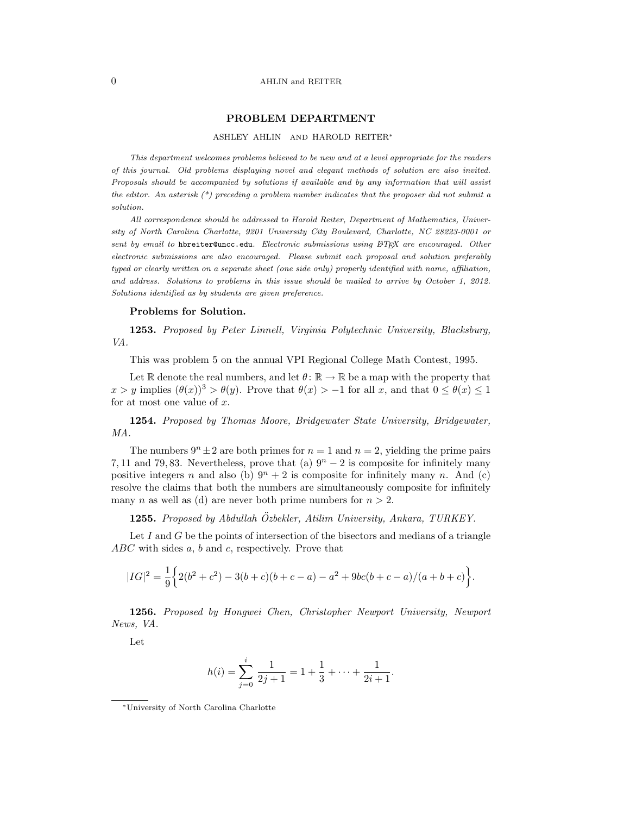## 0 AHLIN and REITER

### PROBLEM DEPARTMENT

#### ASHLEY AHLIN AND HAROLD REITER<sup>∗</sup>

This department welcomes problems believed to be new and at a level appropriate for the readers of this journal. Old problems displaying novel and elegant methods of solution are also invited. Proposals should be accompanied by solutions if available and by any information that will assist the editor. An asterisk  $(*)$  preceding a problem number indicates that the proposer did not submit a solution.

All correspondence should be addressed to Harold Reiter, Department of Mathematics, University of North Carolina Charlotte, 9201 University City Boulevard, Charlotte, NC 28223-0001 or sent by email to hbreiter@uncc.edu. Electronic submissions using  $\cancel{BTEX}$  are encouraged. Other electronic submissions are also encouraged. Please submit each proposal and solution preferably typed or clearly written on a separate sheet (one side only) properly identified with name, affiliation, and address. Solutions to problems in this issue should be mailed to arrive by October 1, 2012. Solutions identified as by students are given preference.

#### Problems for Solution.

1253. Proposed by Peter Linnell, Virginia Polytechnic University, Blacksburg, VA.

This was problem 5 on the annual VPI Regional College Math Contest, 1995.

Let R denote the real numbers, and let  $\theta: \mathbb{R} \to \mathbb{R}$  be a map with the property that  $x > y$  implies  $(\theta(x))^3 > \theta(y)$ . Prove that  $\theta(x) > -1$  for all x, and that  $0 \le \theta(x) \le 1$ for at most one value of  $x$ .

1254. Proposed by Thomas Moore, Bridgewater State University, Bridgewater, MA.

The numbers  $9^n \pm 2$  are both primes for  $n = 1$  and  $n = 2$ , yielding the prime pairs 7, 11 and 79, 83. Nevertheless, prove that (a)  $9^{n} - 2$  is composite for infinitely many positive integers n and also (b)  $9^n + 2$  is composite for infinitely many n. And (c) resolve the claims that both the numbers are simultaneously composite for infinitely many n as well as (d) are never both prime numbers for  $n > 2$ .

1255. Proposed by Abdullah Özbekler, Atilim University, Ankara, TURKEY.

Let  $I$  and  $G$  be the points of intersection of the bisectors and medians of a triangle ABC with sides a, b and c, respectively. Prove that

$$
|IG|^2 = \frac{1}{9} \left\{ 2(b^2 + c^2) - 3(b + c)(b + c - a) - a^2 + 9bc(b + c - a)/(a + b + c) \right\}.
$$

1256. Proposed by Hongwei Chen, Christopher Newport University, Newport News, VA.

Let

$$
h(i) = \sum_{j=0}^{i} \frac{1}{2j+1} = 1 + \frac{1}{3} + \dots + \frac{1}{2i+1}.
$$

<sup>∗</sup>University of North Carolina Charlotte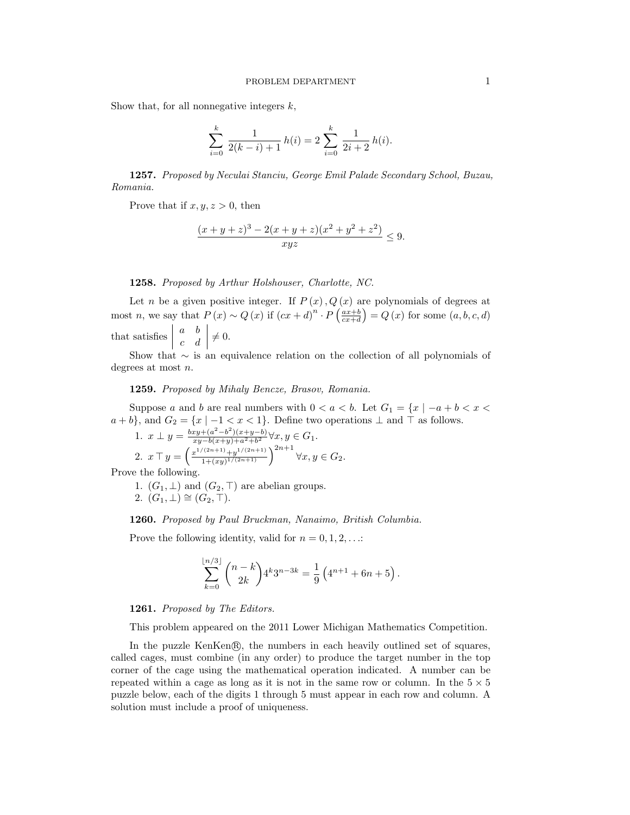Show that, for all nonnegative integers  $k$ ,

$$
\sum_{i=0}^{k} \frac{1}{2(k-i)+1} h(i) = 2 \sum_{i=0}^{k} \frac{1}{2i+2} h(i).
$$

1257. Proposed by Neculai Stanciu, George Emil Palade Secondary School, Buzau, Romania.

Prove that if  $x, y, z > 0$ , then

$$
\frac{(x+y+z)^3 - 2(x+y+z)(x^2+y^2+z^2)}{xyz} \le 9.
$$

#### 1258. Proposed by Arthur Holshouser, Charlotte, NC.

Let n be a given positive integer. If  $P(x)$ ,  $Q(x)$  are polynomials of degrees at most n, we say that  $P(x) \sim Q(x)$  if  $(cx+d)^n \cdot P\left(\frac{ax+b}{cx+d}\right) = Q(x)$  for some  $(a, b, c, d)$ that satisfies  $\left| \begin{array}{c} 0 & 0 \\ 0 & 0 \\ 0 & 0 \end{array} \right|$ a b c d  $\neq 0.$ 

Show that ∼ is an equivalence relation on the collection of all polynomials of degrees at most n.

1259. Proposed by Mihaly Bencze, Brasov, Romania.

Suppose a and b are real numbers with  $0 < a < b$ . Let  $G_1 = \{x \mid -a + b < x < a\}$  $a + b$ , and  $G_2 = \{x \mid -1 < x < 1\}$ . Define two operations  $\perp$  and  $\top$  as follows.

1.  $x \perp y = \frac{bxy + (a^2 - b^2)(x+y-b)}{xy - b(x+y) + a^2 + b^2} \forall x, y \in G_1$ . 2.  $x \top y = \left(\frac{x^{1/(2n+1)} + y^{1/(2n+1)}}{1 + (xy)^{1/(2n+1)}}\right)$  $\frac{\sqrt{(2n+1)}+y^{1/(2n+1)}}{1+(xy)^{1/(2n+1)}}\Big)^{2n+1}$   $\forall x, y \in G_2$ . Prove the following.

1.  $(G_1, \perp)$  and  $(G_2, \perp)$  are abelian groups.

2.  $(G_1, \perp) \cong (G_2, \top).$ 

1260. Proposed by Paul Bruckman, Nanaimo, British Columbia.

Prove the following identity, valid for  $n = 0, 1, 2, \ldots$ :

$$
\sum_{k=0}^{\lfloor n/3 \rfloor} \binom{n-k}{2k} 4^k 3^{n-3k} = \frac{1}{9} \left( 4^{n+1} + 6n + 5 \right).
$$

1261. Proposed by The Editors.

This problem appeared on the 2011 Lower Michigan Mathematics Competition.

In the puzzle KenKen®, the numbers in each heavily outlined set of squares, called cages, must combine (in any order) to produce the target number in the top corner of the cage using the mathematical operation indicated. A number can be repeated within a cage as long as it is not in the same row or column. In the  $5 \times 5$ puzzle below, each of the digits 1 through 5 must appear in each row and column. A solution must include a proof of uniqueness.